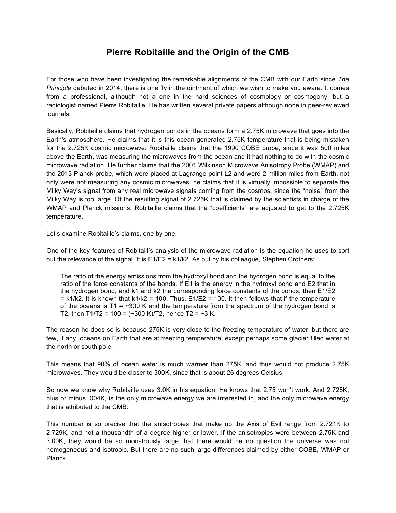## **Pierre Robitaille and the Origin of the CMB**

For those who have been investigating the remarkable alignments of the CMB with our Earth since *The Principle* debuted in 2014, there is one fly in the ointment of which we wish to make you aware. It comes from a professional, although not a one in the hard sciences of cosmology or cosmogony, but a radiologist named Pierre Robitaille. He has written several private papers although none in peer-reviewed journals.

Basically, Robitaille claims that hydrogen bonds in the oceans form a 2.75K microwave that goes into the Earth's atmosphere. He claims that it is this ocean-generated 2.75K temperature that is being mistaken for the 2.725K cosmic microwave. Robitaille claims that the 1990 COBE probe, since it was 500 miles above the Earth, was measuring the microwaves from the ocean and it had nothing to do with the cosmic microwave radiation. He further claims that the 2001 Wilkinson Microwave Anisotropy Probe (WMAP) and the 2013 Planck probe, which were placed at Lagrange point L2 and were 2 million miles from Earth, not only were not measuring any cosmic microwaves, he claims that it is virtually impossible to separate the Milky Way's signal from any real microwave signals coming from the cosmos, since the "noise" from the Milky Way is too large. Of the resulting signal of 2.725K that is claimed by the scientists in charge of the WMAP and Planck missions, Robitaille claims that the "coefficients" are adjusted to get to the 2.725K temperature.

Let's examine Robitaille's claims, one by one.

One of the key features of Robitaill's analysis of the microwave radiation is the equation he uses to sort out the relevance of the signal. It is E1/E2 = k1/k2. As put by his colleague, Stephen Crothers:

The ratio of the energy emissions from the hydroxyl bond and the hydrogen bond is equal to the ratio of the force constants of the bonds. If E1 is the energy in the hydroxyl bond and E2 that in the hydrogen bond, and k1 and k2 the corresponding force constants of the bonds, then E1/E2  $= k1/k2$ . It is known that k1/k2 = 100. Thus,  $E1/E2 = 100$ . It then follows that if the temperature of the oceans is T1 =  $\sim$ 300 K and the temperature from the spectrum of the hydrogen bond is T2, then T1/T2 = 100 =  $(-300 \text{ K})$ /T2, hence T2 = ~3 K.

The reason he does so is because 275K is very close to the freezing temperature of water, but there are few, if any, oceans on Earth that are at freezing temperature, except perhaps some glacier filled water at the north or south pole.

This means that 90% of ocean water is much warmer than 275K, and thus would not produce 2.75K microwaves. They would be closer to 300K, since that is about 26 degrees Celsius.

So now we know why Robitaille uses 3.0K in his equation. He knows that 2.75 won't work. And 2.725K, plus or minus .004K, is the only microwave energy we are interested in, and the only microwave energy that is attributed to the CMB.

This number is so precise that the anisotropies that make up the Axis of Evil range from 2.721K to 2.729K, and not a thousandth of a degree higher or lower. If the anisotropies were between 2.75K and 3.00K, they would be so monstrously large that there would be no question the universe was not homogeneous and isotropic. But there are no such large differences claimed by either COBE, WMAP or Planck.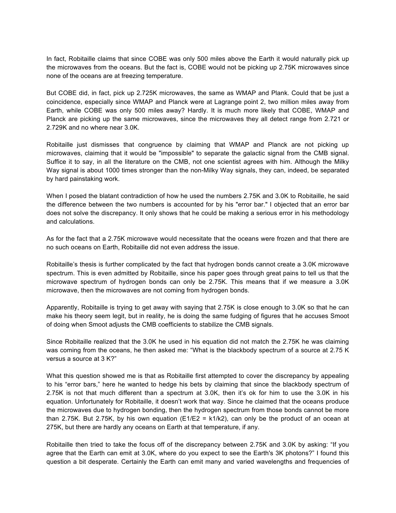In fact, Robitaille claims that since COBE was only 500 miles above the Earth it would naturally pick up the microwaves from the oceans. But the fact is, COBE would not be picking up 2.75K microwaves since none of the oceans are at freezing temperature.

But COBE did, in fact, pick up 2.725K microwaves, the same as WMAP and Plank. Could that be just a coincidence, especially since WMAP and Planck were at Lagrange point 2, two million miles away from Earth, while COBE was only 500 miles away? Hardly. It is much more likely that COBE, WMAP and Planck are picking up the same microwaves, since the microwaves they all detect range from 2.721 or 2.729K and no where near 3.0K.

Robitaille just dismisses that congruence by claiming that WMAP and Planck are not picking up microwaves, claiming that it would be "impossible" to separate the galactic signal from the CMB signal. Suffice it to say, in all the literature on the CMB, not one scientist agrees with him. Although the Milky Way signal is about 1000 times stronger than the non-Milky Way signals, they can, indeed, be separated by hard painstaking work.

When I posed the blatant contradiction of how he used the numbers 2.75K and 3.0K to Robitaille, he said the difference between the two numbers is accounted for by his "error bar." I objected that an error bar does not solve the discrepancy. It only shows that he could be making a serious error in his methodology and calculations.

As for the fact that a 2.75K microwave would necessitate that the oceans were frozen and that there are no such oceans on Earth, Robitaille did not even address the issue.

Robitaille's thesis is further complicated by the fact that hydrogen bonds cannot create a 3.0K microwave spectrum. This is even admitted by Robitaille, since his paper goes through great pains to tell us that the microwave spectrum of hydrogen bonds can only be 2.75K. This means that if we measure a 3.0K microwave, then the microwaves are not coming from hydrogen bonds.

Apparently, Robitaille is trying to get away with saying that 2.75K is close enough to 3.0K so that he can make his theory seem legit, but in reality, he is doing the same fudging of figures that he accuses Smoot of doing when Smoot adjusts the CMB coefficients to stabilize the CMB signals.

Since Robitaille realized that the 3.0K he used in his equation did not match the 2.75K he was claiming was coming from the oceans, he then asked me: "What is the blackbody spectrum of a source at 2.75 K versus a source at 3 K?"

What this question showed me is that as Robitaille first attempted to cover the discrepancy by appealing to his "error bars," here he wanted to hedge his bets by claiming that since the blackbody spectrum of 2.75K is not that much different than a spectrum at 3.0K, then it's ok for him to use the 3.0K in his equation. Unfortunately for Robitaille, it doesn't work that way. Since he claimed that the oceans produce the microwaves due to hydrogen bonding, then the hydrogen spectrum from those bonds cannot be more than 2.75K. But 2.75K, by his own equation (E1/E2 = k1/k2), can only be the product of an ocean at 275K, but there are hardly any oceans on Earth at that temperature, if any.

Robitaille then tried to take the focus off of the discrepancy between 2.75K and 3.0K by asking: "If you agree that the Earth can emit at 3.0K, where do you expect to see the Earth's 3K photons?" I found this question a bit desperate. Certainly the Earth can emit many and varied wavelengths and frequencies of